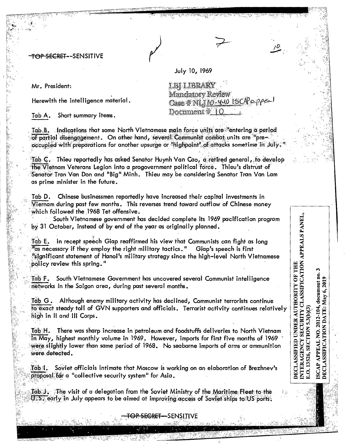<del>TOP SECRET -</del>-SENSITIVE

Mr. President:

Herewith the intelligence material.

Short summary items. Tab A.

Tab B. Indications that some North Vietnamese main force units are "entering a period of partial disengagement. On other hand,several Communist combat units are "pre<del>"</del> occupied with preparations for another upsurge or 'highpoint' of attacks sometime in July.

Tab C. Thieu reportedly has asked Senator Huynh Van Cao, a retired general, to develop the Vietnam Veterans Legion into a progovernment political force. Thieu's distrust of Senator Tran Van Don and "Big" Minh. Thieu may be considering Senator Tran Van Lam as prime minister in the future.

Chinese businessmen reportedly have increased their capital investments in Tab D. Viernam during past few months. This reverses trend toward outflow of Chinese money which followed the 1968 Tet offensive.

South Vietnamese government has decided complete its 1969 pacification program by 31 October, instead of by end of the year as originally planned.

In recept speech Giap reaffirmed his view that Communists can fight as long Tab E. "as necessary if they employ the right military tactics." Giap's speech is first "significant statement of Hanoi's military strategy since the high-level North Vietnamese policy review this spring."

South Vietnamese Government has uncovered several Communist intelligence Tab F. networks in the Saigon area, during past several months.

Tab G. Although enemy military activity has declined, Communist terrorists continue fo exact steady toll of GVN supporters and officials. Terrorist activity continues relatively high in II and III Corps.

There was sharp increase in petroleum and foodstuffs deliveries to North Vietnam Tab H.  $\overline{\text{in}~\text{May}}$ , highest monthly volume in 1969. However, imports for first five months of 1969  $^{\circ}$ were slightly lower than same period of 1968. No seaborne imports of arms or ammunition were defected.

Soviet officials intimate that Moscow is working on an elaboration of Brezhnev's Tab I. proposal for a "collective security system" for Asia.

Tab J. The visit of a delegation from the Soviet Ministry of the Maritime Fleet to the U.S. early in July appears to be aimed at improving access of Soviet ships to US ports.

SENSITIVE

INTERAGENCY SECURITY CLASSIFICATION APPEALS PANEL,<br>E.O. 13526, SECTION 5.3(b)(3) DECLASSIFIED UNDER AUTHORITY OF THE document no. **APPEAL NO. 2012-104, document no**<br>SSIFICATION DATE: May 6, 2019

**LBF LIBRARY** Mandatory Review Case # NIJ10-40 1SCPapper Document #10

July 10, 1969